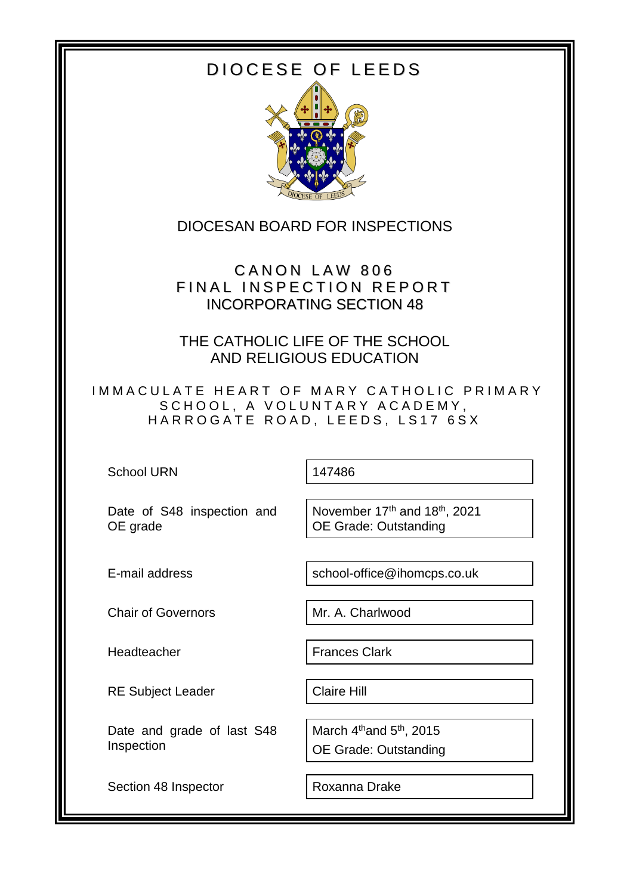# DIOCESE OF LEEDS



### DIOCESAN BOARD FOR INSPECTIONS

CANON LAW 806 FINAL INSPECTION REPORT INCORPORATING SECTION 48

THE CATHOLIC LIFE OF THE SCHOOL AND RELIGIOUS EDUCATION

IMMACULATE HEART OF MARY CATHOLIC PRIMARY SCHOOL, A VOLUNTARY ACADEMY, HARROGATE ROAD, LEEDS, LS17 6SX

School URN 147486

Date of S48 inspection and OE grade

November 17<sup>th</sup> and 18<sup>th</sup>, 2021 OE Grade: Outstanding

E-mail address school-office@ihomcps.co.uk

Chair of Governors Mr. A. Charlwood

Headteacher **Frances Clark** 

RE Subject Leader | Claire Hill

Date and grade of last S48 Inspection

Section 48 Inspector | Roxanna Drake

March 4<sup>th</sup>and 5<sup>th</sup>, 2015 OE Grade: Outstanding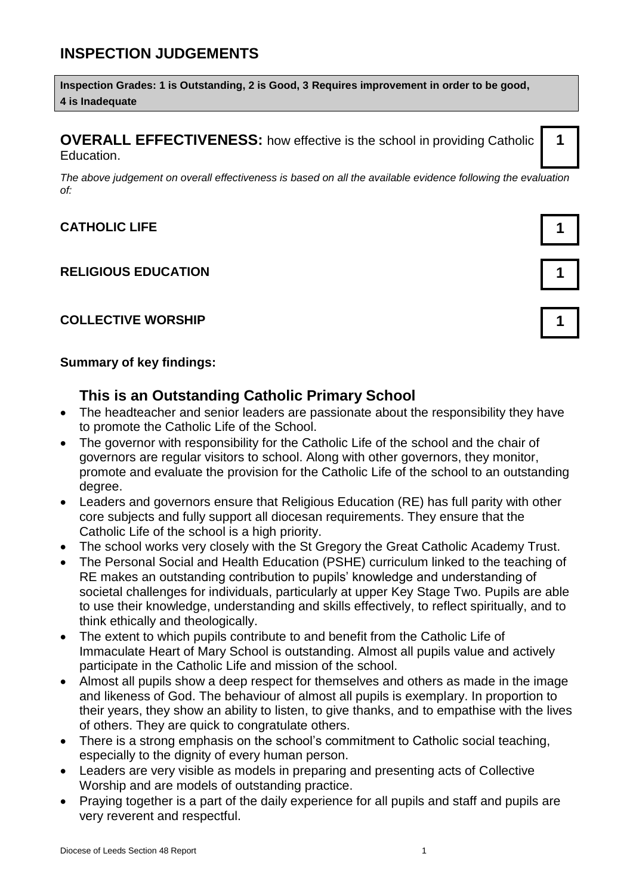# **INSPECTION JUDGEMENTS**

**Inspection Grades: 1 is Outstanding, 2 is Good, 3 Requires improvement in order to be good, 4 is Inadequate**

**OVERALL EFFECTIVENESS:** how effective is the school in providing Catholic Education.

*The above judgement on overall effectiveness is based on all the available evidence following the evaluation of:*

#### **CATHOLIC LIFE 1**

#### **RELIGIOUS EDUCATION 1**

#### **COLLECTIVE WORSHIP 1**

#### **Summary of key findings:**

### **This is an Outstanding Catholic Primary School**

- The headteacher and senior leaders are passionate about the responsibility they have to promote the Catholic Life of the School.
- The governor with responsibility for the Catholic Life of the school and the chair of governors are regular visitors to school. Along with other governors, they monitor, promote and evaluate the provision for the Catholic Life of the school to an outstanding degree.
- Leaders and governors ensure that Religious Education (RE) has full parity with other core subjects and fully support all diocesan requirements. They ensure that the Catholic Life of the school is a high priority.
- The school works very closely with the St Gregory the Great Catholic Academy Trust.
- The Personal Social and Health Education (PSHE) curriculum linked to the teaching of RE makes an outstanding contribution to pupils' knowledge and understanding of societal challenges for individuals, particularly at upper Key Stage Two. Pupils are able to use their knowledge, understanding and skills effectively, to reflect spiritually, and to think ethically and theologically.
- The extent to which pupils contribute to and benefit from the Catholic Life of Immaculate Heart of Mary School is outstanding. Almost all pupils value and actively participate in the Catholic Life and mission of the school.
- Almost all pupils show a deep respect for themselves and others as made in the image and likeness of God. The behaviour of almost all pupils is exemplary. In proportion to their years, they show an ability to listen, to give thanks, and to empathise with the lives of others. They are quick to congratulate others.
- There is a strong emphasis on the school's commitment to Catholic social teaching, especially to the dignity of every human person.
- Leaders are very visible as models in preparing and presenting acts of Collective Worship and are models of outstanding practice.
- Praying together is a part of the daily experience for all pupils and staff and pupils are very reverent and respectful.

| 1 |  |
|---|--|
|   |  |

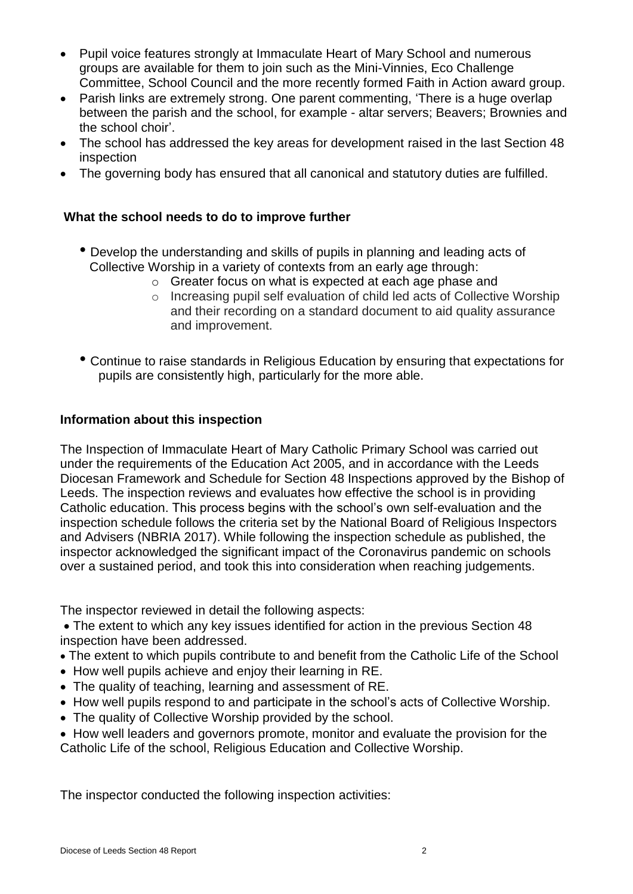- Pupil voice features strongly at Immaculate Heart of Mary School and numerous groups are available for them to join such as the Mini-Vinnies, Eco Challenge Committee, School Council and the more recently formed Faith in Action award group.
- Parish links are extremely strong. One parent commenting, 'There is a huge overlap between the parish and the school, for example - altar servers; Beavers; Brownies and the school choir'.
- The school has addressed the key areas for development raised in the last Section 48 inspection
- The governing body has ensured that all canonical and statutory duties are fulfilled.

#### **What the school needs to do to improve further**

- Develop the understanding and skills of pupils in planning and leading acts of Collective Worship in a variety of contexts from an early age through:
	- o Greater focus on what is expected at each age phase and
	- o Increasing pupil self evaluation of child led acts of Collective Worship and their recording on a standard document to aid quality assurance and improvement.
- Continue to raise standards in Religious Education by ensuring that expectations for pupils are consistently high, particularly for the more able.

#### **Information about this inspection**

The Inspection of Immaculate Heart of Mary Catholic Primary School was carried out under the requirements of the Education Act 2005, and in accordance with the Leeds Diocesan Framework and Schedule for Section 48 Inspections approved by the Bishop of Leeds. The inspection reviews and evaluates how effective the school is in providing Catholic education. This process begins with the school's own self-evaluation and the inspection schedule follows the criteria set by the National Board of Religious Inspectors and Advisers (NBRIA 2017). While following the inspection schedule as published, the inspector acknowledged the significant impact of the Coronavirus pandemic on schools over a sustained period, and took this into consideration when reaching judgements.

The inspector reviewed in detail the following aspects:

 The extent to which any key issues identified for action in the previous Section 48 inspection have been addressed.

- The extent to which pupils contribute to and benefit from the Catholic Life of the School
- How well pupils achieve and enjoy their learning in RE.
- The quality of teaching, learning and assessment of RE.
- How well pupils respond to and participate in the school's acts of Collective Worship.
- The quality of Collective Worship provided by the school.

 How well leaders and governors promote, monitor and evaluate the provision for the Catholic Life of the school, Religious Education and Collective Worship.

The inspector conducted the following inspection activities: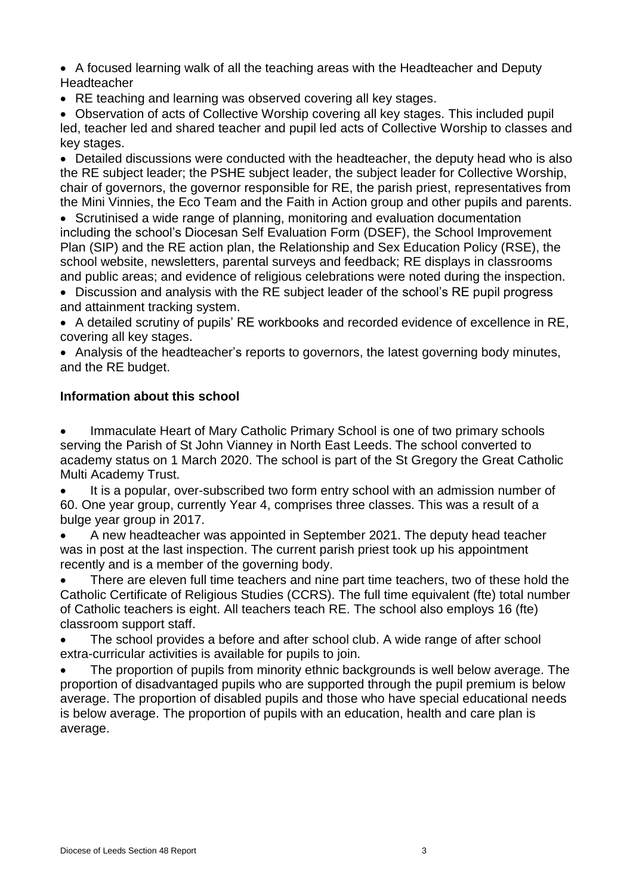A focused learning walk of all the teaching areas with the Headteacher and Deputy **Headteacher** 

• RE teaching and learning was observed covering all key stages.

 Observation of acts of Collective Worship covering all key stages. This included pupil led, teacher led and shared teacher and pupil led acts of Collective Worship to classes and key stages.

• Detailed discussions were conducted with the headteacher, the deputy head who is also the RE subject leader; the PSHE subject leader, the subject leader for Collective Worship, chair of governors, the governor responsible for RE, the parish priest, representatives from the Mini Vinnies, the Eco Team and the Faith in Action group and other pupils and parents.

• Scrutinised a wide range of planning, monitoring and evaluation documentation including the school's Diocesan Self Evaluation Form (DSEF), the School Improvement Plan (SIP) and the RE action plan, the Relationship and Sex Education Policy (RSE), the school website, newsletters, parental surveys and feedback; RE displays in classrooms and public areas; and evidence of religious celebrations were noted during the inspection.

 Discussion and analysis with the RE subject leader of the school's RE pupil progress and attainment tracking system.

 A detailed scrutiny of pupils' RE workbooks and recorded evidence of excellence in RE, covering all key stages.

• Analysis of the headteacher's reports to governors, the latest governing body minutes, and the RE budget.

#### **Information about this school**

 Immaculate Heart of Mary Catholic Primary School is one of two primary schools serving the Parish of St John Vianney in North East Leeds. The school converted to academy status on 1 March 2020. The school is part of the St Gregory the Great Catholic Multi Academy Trust.

 It is a popular, over-subscribed two form entry school with an admission number of 60. One year group, currently Year 4, comprises three classes. This was a result of a bulge year group in 2017.

 A new headteacher was appointed in September 2021. The deputy head teacher was in post at the last inspection. The current parish priest took up his appointment recently and is a member of the governing body.

 There are eleven full time teachers and nine part time teachers, two of these hold the Catholic Certificate of Religious Studies (CCRS). The full time equivalent (fte) total number of Catholic teachers is eight. All teachers teach RE. The school also employs 16 (fte) classroom support staff.

 The school provides a before and after school club. A wide range of after school extra-curricular activities is available for pupils to join.

 The proportion of pupils from minority ethnic backgrounds is well below average. The proportion of disadvantaged pupils who are supported through the pupil premium is below average. The proportion of disabled pupils and those who have special educational needs is below average. The proportion of pupils with an education, health and care plan is average.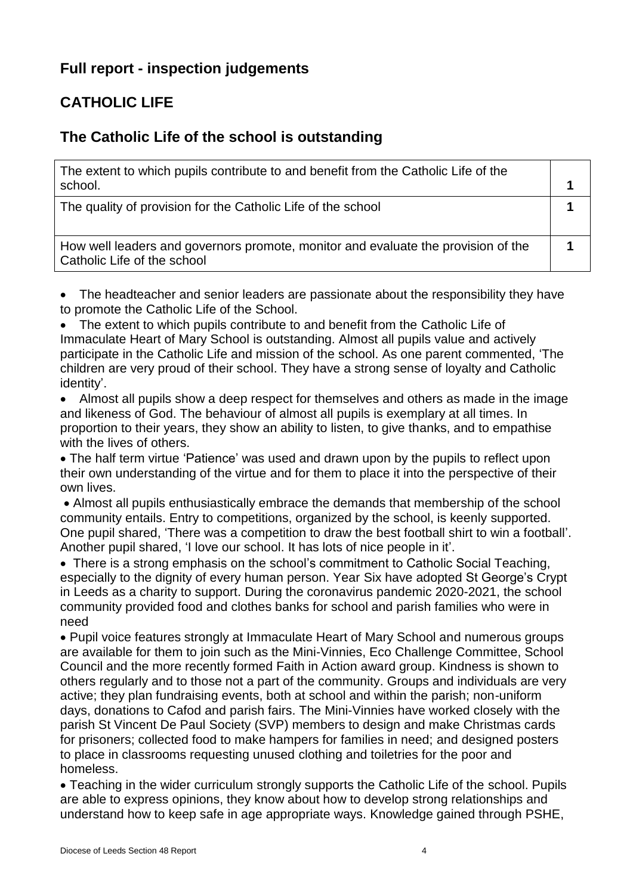# **Full report - inspection judgements**

# **CATHOLIC LIFE**

### **The Catholic Life of the school is outstanding**

| The extent to which pupils contribute to and benefit from the Catholic Life of the<br>school.                    |  |
|------------------------------------------------------------------------------------------------------------------|--|
| The quality of provision for the Catholic Life of the school                                                     |  |
| How well leaders and governors promote, monitor and evaluate the provision of the<br>Catholic Life of the school |  |

 The headteacher and senior leaders are passionate about the responsibility they have to promote the Catholic Life of the School.

 The extent to which pupils contribute to and benefit from the Catholic Life of Immaculate Heart of Mary School is outstanding. Almost all pupils value and actively participate in the Catholic Life and mission of the school. As one parent commented, 'The children are very proud of their school. They have a strong sense of loyalty and Catholic identity'.

 Almost all pupils show a deep respect for themselves and others as made in the image and likeness of God. The behaviour of almost all pupils is exemplary at all times. In proportion to their years, they show an ability to listen, to give thanks, and to empathise with the lives of others.

 The half term virtue 'Patience' was used and drawn upon by the pupils to reflect upon their own understanding of the virtue and for them to place it into the perspective of their own lives.

 Almost all pupils enthusiastically embrace the demands that membership of the school community entails. Entry to competitions, organized by the school, is keenly supported. One pupil shared, 'There was a competition to draw the best football shirt to win a football'. Another pupil shared, 'I love our school. It has lots of nice people in it'.

 There is a strong emphasis on the school's commitment to Catholic Social Teaching, especially to the dignity of every human person. Year Six have adopted St George's Crypt in Leeds as a charity to support. During the coronavirus pandemic 2020-2021, the school community provided food and clothes banks for school and parish families who were in need

 Pupil voice features strongly at Immaculate Heart of Mary School and numerous groups are available for them to join such as the Mini-Vinnies, Eco Challenge Committee, School Council and the more recently formed Faith in Action award group. Kindness is shown to others regularly and to those not a part of the community. Groups and individuals are very active; they plan fundraising events, both at school and within the parish; non-uniform days, donations to Cafod and parish fairs. The Mini-Vinnies have worked closely with the parish St Vincent De Paul Society (SVP) members to design and make Christmas cards for prisoners; collected food to make hampers for families in need; and designed posters to place in classrooms requesting unused clothing and toiletries for the poor and homeless.

 Teaching in the wider curriculum strongly supports the Catholic Life of the school. Pupils are able to express opinions, they know about how to develop strong relationships and understand how to keep safe in age appropriate ways. Knowledge gained through PSHE,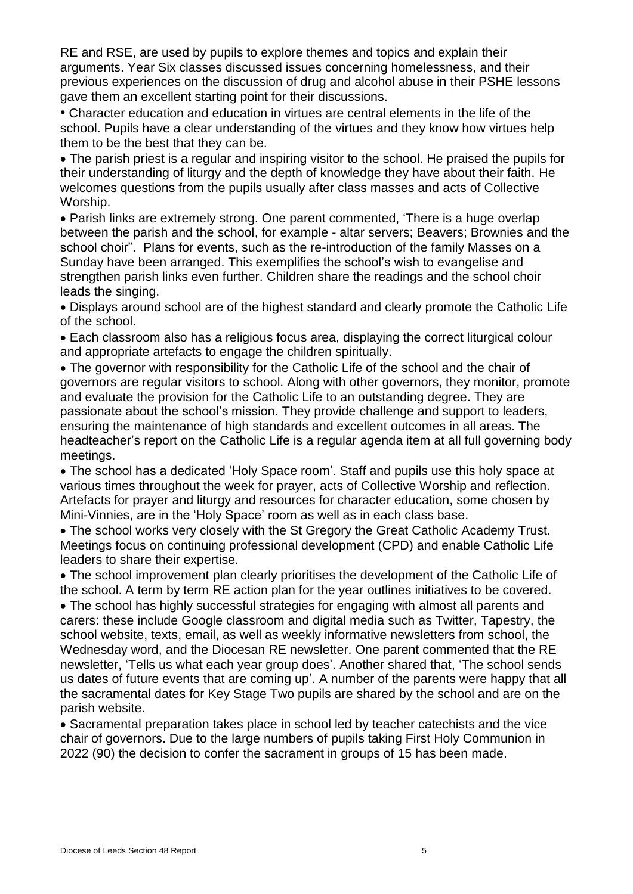RE and RSE, are used by pupils to explore themes and topics and explain their arguments. Year Six classes discussed issues concerning homelessness, and their previous experiences on the discussion of drug and alcohol abuse in their PSHE lessons gave them an excellent starting point for their discussions.

• Character education and education in virtues are central elements in the life of the school. Pupils have a clear understanding of the virtues and they know how virtues help them to be the best that they can be.

 The parish priest is a regular and inspiring visitor to the school. He praised the pupils for their understanding of liturgy and the depth of knowledge they have about their faith. He welcomes questions from the pupils usually after class masses and acts of Collective Worship.

 Parish links are extremely strong. One parent commented, 'There is a huge overlap between the parish and the school, for example - altar servers; Beavers; Brownies and the school choir". Plans for events, such as the re-introduction of the family Masses on a Sunday have been arranged. This exemplifies the school's wish to evangelise and strengthen parish links even further. Children share the readings and the school choir leads the singing.

 Displays around school are of the highest standard and clearly promote the Catholic Life of the school.

 Each classroom also has a religious focus area, displaying the correct liturgical colour and appropriate artefacts to engage the children spiritually.

 The governor with responsibility for the Catholic Life of the school and the chair of governors are regular visitors to school. Along with other governors, they monitor, promote and evaluate the provision for the Catholic Life to an outstanding degree. They are passionate about the school's mission. They provide challenge and support to leaders, ensuring the maintenance of high standards and excellent outcomes in all areas. The headteacher's report on the Catholic Life is a regular agenda item at all full governing body meetings.

 The school has a dedicated 'Holy Space room'. Staff and pupils use this holy space at various times throughout the week for prayer, acts of Collective Worship and reflection. Artefacts for prayer and liturgy and resources for character education, some chosen by Mini-Vinnies, are in the 'Holy Space' room as well as in each class base.

 The school works very closely with the St Gregory the Great Catholic Academy Trust. Meetings focus on continuing professional development (CPD) and enable Catholic Life leaders to share their expertise.

 The school improvement plan clearly prioritises the development of the Catholic Life of the school. A term by term RE action plan for the year outlines initiatives to be covered.

 The school has highly successful strategies for engaging with almost all parents and carers: these include Google classroom and digital media such as Twitter, Tapestry, the school website, texts, email, as well as weekly informative newsletters from school, the Wednesday word, and the Diocesan RE newsletter. One parent commented that the RE newsletter, 'Tells us what each year group does'. Another shared that, 'The school sends us dates of future events that are coming up'. A number of the parents were happy that all the sacramental dates for Key Stage Two pupils are shared by the school and are on the parish website.

 Sacramental preparation takes place in school led by teacher catechists and the vice chair of governors. Due to the large numbers of pupils taking First Holy Communion in 2022 (90) the decision to confer the sacrament in groups of 15 has been made.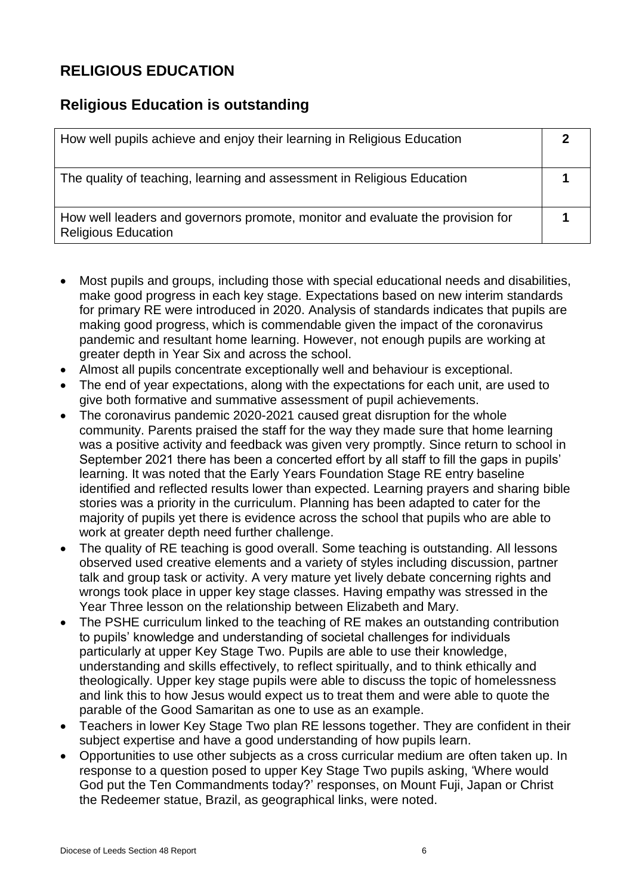## **RELIGIOUS EDUCATION**

### **Religious Education is outstanding**

| How well pupils achieve and enjoy their learning in Religious Education                                      |  |
|--------------------------------------------------------------------------------------------------------------|--|
| The quality of teaching, learning and assessment in Religious Education                                      |  |
| How well leaders and governors promote, monitor and evaluate the provision for<br><b>Religious Education</b> |  |

- Most pupils and groups, including those with special educational needs and disabilities, make good progress in each key stage. Expectations based on new interim standards for primary RE were introduced in 2020. Analysis of standards indicates that pupils are making good progress, which is commendable given the impact of the coronavirus pandemic and resultant home learning. However, not enough pupils are working at greater depth in Year Six and across the school.
- Almost all pupils concentrate exceptionally well and behaviour is exceptional.
- The end of year expectations, along with the expectations for each unit, are used to give both formative and summative assessment of pupil achievements.
- The coronavirus pandemic 2020-2021 caused great disruption for the whole community. Parents praised the staff for the way they made sure that home learning was a positive activity and feedback was given very promptly. Since return to school in September 2021 there has been a concerted effort by all staff to fill the gaps in pupils' learning. It was noted that the Early Years Foundation Stage RE entry baseline identified and reflected results lower than expected. Learning prayers and sharing bible stories was a priority in the curriculum. Planning has been adapted to cater for the majority of pupils yet there is evidence across the school that pupils who are able to work at greater depth need further challenge.
- The quality of RE teaching is good overall. Some teaching is outstanding. All lessons observed used creative elements and a variety of styles including discussion, partner talk and group task or activity. A very mature yet lively debate concerning rights and wrongs took place in upper key stage classes. Having empathy was stressed in the Year Three lesson on the relationship between Elizabeth and Mary.
- The PSHE curriculum linked to the teaching of RE makes an outstanding contribution to pupils' knowledge and understanding of societal challenges for individuals particularly at upper Key Stage Two. Pupils are able to use their knowledge, understanding and skills effectively, to reflect spiritually, and to think ethically and theologically. Upper key stage pupils were able to discuss the topic of homelessness and link this to how Jesus would expect us to treat them and were able to quote the parable of the Good Samaritan as one to use as an example.
- Teachers in lower Key Stage Two plan RE lessons together. They are confident in their subject expertise and have a good understanding of how pupils learn.
- Opportunities to use other subjects as a cross curricular medium are often taken up. In response to a question posed to upper Key Stage Two pupils asking, 'Where would God put the Ten Commandments today?' responses, on Mount Fuji, Japan or Christ the Redeemer statue, Brazil, as geographical links, were noted.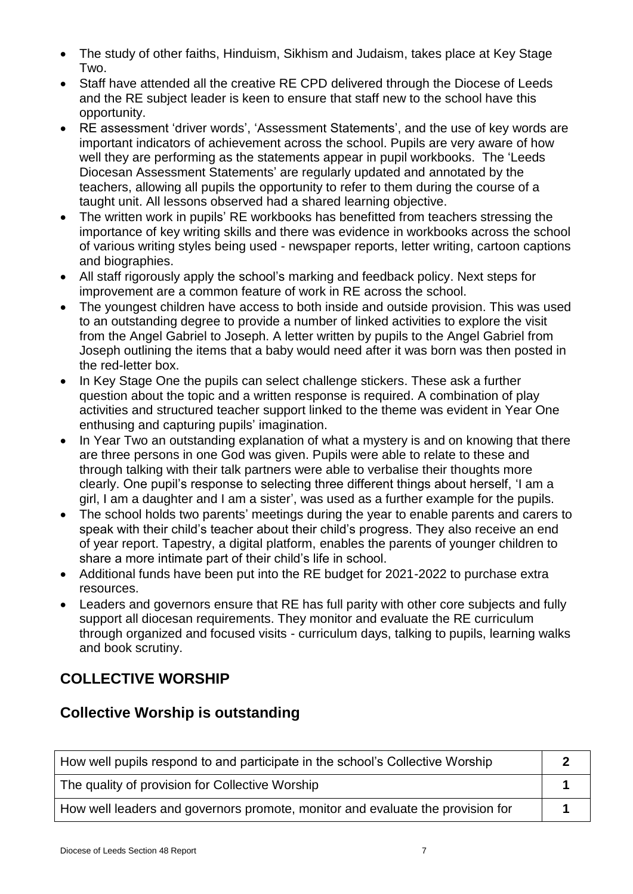- The study of other faiths, Hinduism, Sikhism and Judaism, takes place at Key Stage Two.
- Staff have attended all the creative RE CPD delivered through the Diocese of Leeds and the RE subject leader is keen to ensure that staff new to the school have this opportunity.
- RE assessment 'driver words', 'Assessment Statements', and the use of key words are important indicators of achievement across the school. Pupils are very aware of how well they are performing as the statements appear in pupil workbooks. The 'Leeds Diocesan Assessment Statements' are regularly updated and annotated by the teachers, allowing all pupils the opportunity to refer to them during the course of a taught unit. All lessons observed had a shared learning objective.
- The written work in pupils' RE workbooks has benefitted from teachers stressing the importance of key writing skills and there was evidence in workbooks across the school of various writing styles being used - newspaper reports, letter writing, cartoon captions and biographies.
- All staff rigorously apply the school's marking and feedback policy. Next steps for improvement are a common feature of work in RE across the school.
- The youngest children have access to both inside and outside provision. This was used to an outstanding degree to provide a number of linked activities to explore the visit from the Angel Gabriel to Joseph. A letter written by pupils to the Angel Gabriel from Joseph outlining the items that a baby would need after it was born was then posted in the red-letter box.
- In Key Stage One the pupils can select challenge stickers. These ask a further question about the topic and a written response is required. A combination of play activities and structured teacher support linked to the theme was evident in Year One enthusing and capturing pupils' imagination.
- In Year Two an outstanding explanation of what a mystery is and on knowing that there are three persons in one God was given. Pupils were able to relate to these and through talking with their talk partners were able to verbalise their thoughts more clearly. One pupil's response to selecting three different things about herself, 'I am a girl, I am a daughter and I am a sister', was used as a further example for the pupils.
- The school holds two parents' meetings during the year to enable parents and carers to speak with their child's teacher about their child's progress. They also receive an end of year report. Tapestry, a digital platform, enables the parents of younger children to share a more intimate part of their child's life in school.
- Additional funds have been put into the RE budget for 2021-2022 to purchase extra resources.
- Leaders and governors ensure that RE has full parity with other core subjects and fully support all diocesan requirements. They monitor and evaluate the RE curriculum through organized and focused visits - curriculum days, talking to pupils, learning walks and book scrutiny.

## **COLLECTIVE WORSHIP**

## **Collective Worship is outstanding**

| How well pupils respond to and participate in the school's Collective Worship  |  |
|--------------------------------------------------------------------------------|--|
| The quality of provision for Collective Worship                                |  |
| How well leaders and governors promote, monitor and evaluate the provision for |  |